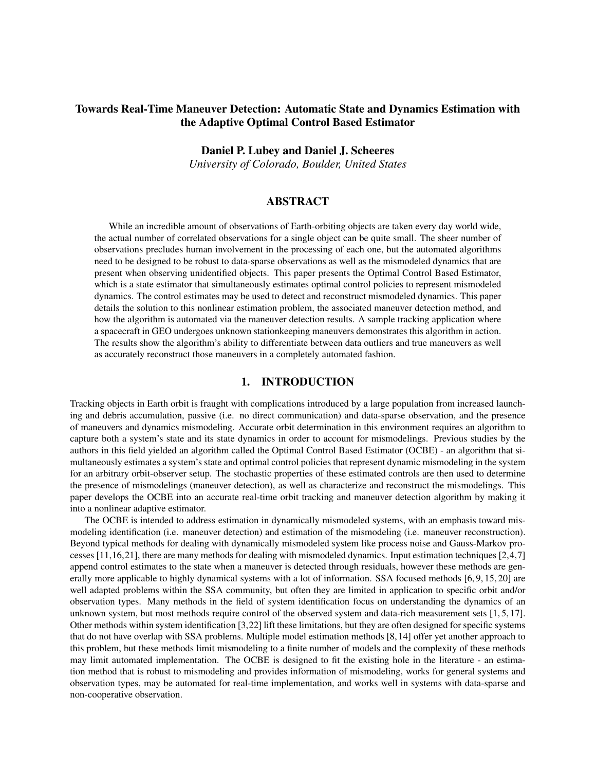# Towards Real-Time Maneuver Detection: Automatic State and Dynamics Estimation with the Adaptive Optimal Control Based Estimator

#### Daniel P. Lubey and Daniel J. Scheeres

*University of Colorado, Boulder, United States*

#### ABSTRACT

While an incredible amount of observations of Earth-orbiting objects are taken every day world wide, the actual number of correlated observations for a single object can be quite small. The sheer number of observations precludes human involvement in the processing of each one, but the automated algorithms need to be designed to be robust to data-sparse observations as well as the mismodeled dynamics that are present when observing unidentified objects. This paper presents the Optimal Control Based Estimator, which is a state estimator that simultaneously estimates optimal control policies to represent mismodeled dynamics. The control estimates may be used to detect and reconstruct mismodeled dynamics. This paper details the solution to this nonlinear estimation problem, the associated maneuver detection method, and how the algorithm is automated via the maneuver detection results. A sample tracking application where a spacecraft in GEO undergoes unknown stationkeeping maneuvers demonstrates this algorithm in action. The results show the algorithm's ability to differentiate between data outliers and true maneuvers as well as accurately reconstruct those maneuvers in a completely automated fashion.

## 1. INTRODUCTION

Tracking objects in Earth orbit is fraught with complications introduced by a large population from increased launching and debris accumulation, passive (i.e. no direct communication) and data-sparse observation, and the presence of maneuvers and dynamics mismodeling. Accurate orbit determination in this environment requires an algorithm to capture both a system's state and its state dynamics in order to account for mismodelings. Previous studies by the authors in this field yielded an algorithm called the Optimal Control Based Estimator (OCBE) - an algorithm that simultaneously estimates a system's state and optimal control policies that represent dynamic mismodeling in the system for an arbitrary orbit-observer setup. The stochastic properties of these estimated controls are then used to determine the presence of mismodelings (maneuver detection), as well as characterize and reconstruct the mismodelings. This paper develops the OCBE into an accurate real-time orbit tracking and maneuver detection algorithm by making it into a nonlinear adaptive estimator.

The OCBE is intended to address estimation in dynamically mismodeled systems, with an emphasis toward mismodeling identification (i.e. maneuver detection) and estimation of the mismodeling (i.e. maneuver reconstruction). Beyond typical methods for dealing with dynamically mismodeled system like process noise and Gauss-Markov processes [11,16,21], there are many methods for dealing with mismodeled dynamics. Input estimation techniques [2,4,7] append control estimates to the state when a maneuver is detected through residuals, however these methods are generally more applicable to highly dynamical systems with a lot of information. SSA focused methods [6, 9, 15, 20] are well adapted problems within the SSA community, but often they are limited in application to specific orbit and/or observation types. Many methods in the field of system identification focus on understanding the dynamics of an unknown system, but most methods require control of the observed system and data-rich measurement sets [1,5,17]. Other methods within system identification [3,22] lift these limitations, but they are often designed for specific systems that do not have overlap with SSA problems. Multiple model estimation methods [8, 14] offer yet another approach to this problem, but these methods limit mismodeling to a finite number of models and the complexity of these methods may limit automated implementation. The OCBE is designed to fit the existing hole in the literature - an estimation method that is robust to mismodeling and provides information of mismodeling, works for general systems and observation types, may be automated for real-time implementation, and works well in systems with data-sparse and non-cooperative observation.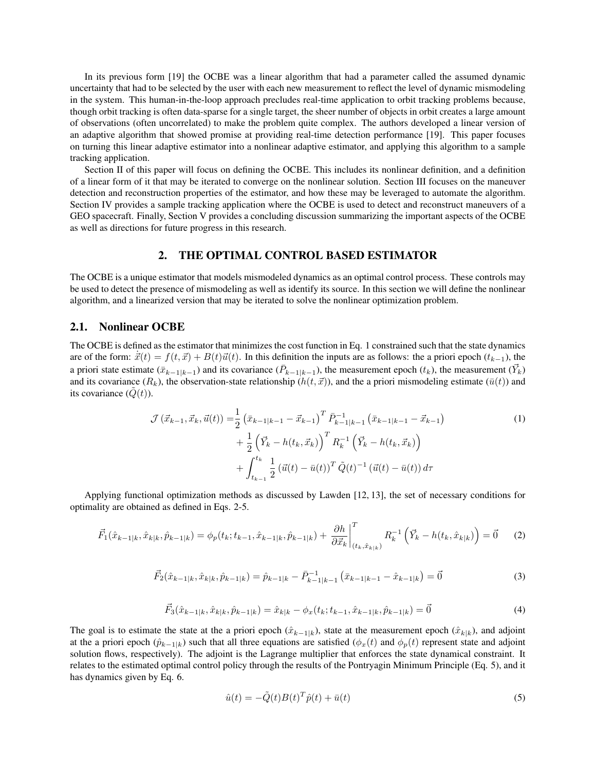In its previous form [19] the OCBE was a linear algorithm that had a parameter called the assumed dynamic uncertainty that had to be selected by the user with each new measurement to reflect the level of dynamic mismodeling in the system. This human-in-the-loop approach precludes real-time application to orbit tracking problems because, though orbit tracking is often data-sparse for a single target, the sheer number of objects in orbit creates a large amount of observations (often uncorrelated) to make the problem quite complex. The authors developed a linear version of an adaptive algorithm that showed promise at providing real-time detection performance [19]. This paper focuses on turning this linear adaptive estimator into a nonlinear adaptive estimator, and applying this algorithm to a sample tracking application.

Section II of this paper will focus on defining the OCBE. This includes its nonlinear definition, and a definition of a linear form of it that may be iterated to converge on the nonlinear solution. Section III focuses on the maneuver detection and reconstruction properties of the estimator, and how these may be leveraged to automate the algorithm. Section IV provides a sample tracking application where the OCBE is used to detect and reconstruct maneuvers of a GEO spacecraft. Finally, Section V provides a concluding discussion summarizing the important aspects of the OCBE as well as directions for future progress in this research.

### 2. THE OPTIMAL CONTROL BASED ESTIMATOR

The OCBE is a unique estimator that models mismodeled dynamics as an optimal control process. These controls may be used to detect the presence of mismodeling as well as identify its source. In this section we will define the nonlinear algorithm, and a linearized version that may be iterated to solve the nonlinear optimization problem.

#### 2.1. Nonlinear OCBE

The OCBE is defined as the estimator that minimizes the cost function in Eq. 1 constrained such that the state dynamics are of the form:  $\vec{x}(t) = f(t, \vec{x}) + B(t)\vec{u}(t)$ . In this definition the inputs are as follows: the a priori epoch  $(t_{k-1})$ , the a priori state estimate  $(\bar{x}_{k-1|k-1})$  and its covariance  $(\bar{P}_{k-1|k-1})$ , the measurement epoch  $(t_k)$ , the measurement  $(\vec{Y}_k)$ and its covariance  $(R_k)$ , the observation-state relationship  $(h(t, \vec{x}))$ , and the a priori mismodeling estimate  $(\bar{u}(t))$  and its covariance  $(Q(t))$ .

$$
\mathcal{J}\left(\vec{x}_{k-1},\vec{x}_{k},\vec{u}(t)\right) = \frac{1}{2} \left(\bar{x}_{k-1|k-1} - \vec{x}_{k-1}\right)^{T} \bar{P}_{k-1|k-1}^{-1} \left(\bar{x}_{k-1|k-1} - \vec{x}_{k-1}\right) \n+ \frac{1}{2} \left(\vec{Y}_{k} - h(t_{k},\vec{x}_{k})\right)^{T} R_{k}^{-1} \left(\vec{Y}_{k} - h(t_{k},\vec{x}_{k})\right) \n+ \int_{t_{k-1}}^{t_{k}} \frac{1}{2} \left(\vec{u}(t) - \bar{u}(t)\right)^{T} \tilde{Q}(t)^{-1} \left(\vec{u}(t) - \bar{u}(t)\right) d\tau
$$
\n(1)

Applying functional optimization methods as discussed by Lawden [12, 13], the set of necessary conditions for optimality are obtained as defined in Eqs. 2-5.

$$
\vec{F}_1(\hat{x}_{k-1|k}, \hat{x}_{k|k}, \hat{p}_{k-1|k}) = \phi_p(t_k; t_{k-1}, \hat{x}_{k-1|k}, \hat{p}_{k-1|k}) + \left. \frac{\partial h}{\partial \vec{x}_k} \right|_{(t_k, \hat{x}_{k|k})}^T R_k^{-1} \left( \vec{Y}_k - h(t_k, \hat{x}_{k|k}) \right) = \vec{0} \tag{2}
$$

$$
\vec{F}_2(\hat{x}_{k-1|k}, \hat{x}_{k|k}, \hat{p}_{k-1|k}) = \hat{p}_{k-1|k} - \bar{P}_{k-1|k-1}^{-1} (\bar{x}_{k-1|k-1} - \hat{x}_{k-1|k}) = \vec{0}
$$
\n(3)

$$
\vec{F}_3(\hat{x}_{k-1|k}, \hat{x}_{k|k}, \hat{p}_{k-1|k}) = \hat{x}_{k|k} - \phi_x(t_k; t_{k-1}, \hat{x}_{k-1|k}, \hat{p}_{k-1|k}) = \vec{0}
$$
\n(4)

The goal is to estimate the state at the a priori epoch ( $\hat{x}_{k-1|k}$ ), state at the measurement epoch ( $\hat{x}_{k|k}$ ), and adjoint at the a priori epoch ( $\hat{p}_{k-1|k}$ ) such that all three equations are satisfied ( $\phi_x(t)$  and  $\phi_p(t)$  represent state and adjoint solution flows, respectively). The adjoint is the Lagrange multiplier that enforces the state dynamical constraint. It relates to the estimated optimal control policy through the results of the Pontryagin Minimum Principle (Eq. 5), and it has dynamics given by Eq. 6.

$$
\hat{u}(t) = -\tilde{Q}(t)B(t)^T \hat{p}(t) + \bar{u}(t)
$$
\n(5)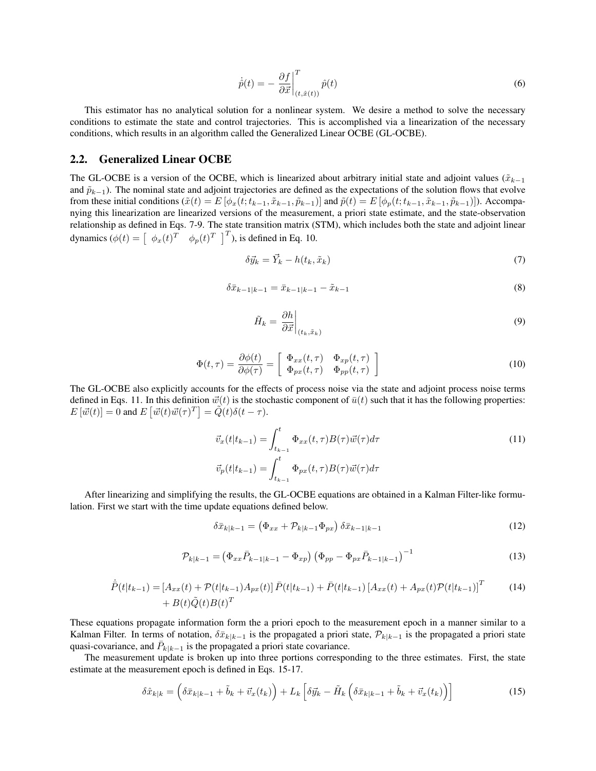$$
\dot{\hat{p}}(t) = -\left. \frac{\partial f}{\partial \vec{x}} \right|_{(t,\hat{x}(t))}^{T} \hat{p}(t)
$$
\n(6)

This estimator has no analytical solution for a nonlinear system. We desire a method to solve the necessary conditions to estimate the state and control trajectories. This is accomplished via a linearization of the necessary conditions, which results in an algorithm called the Generalized Linear OCBE (GL-OCBE).

## 2.2. Generalized Linear OCBE

The GL-OCBE is a version of the OCBE, which is linearized about arbitrary initial state and adjoint values ( $\tilde{x}_{k-1}$ and  $\tilde{p}_{k-1}$ ). The nominal state and adjoint trajectories are defined as the expectations of the solution flows that evolve from these initial conditions  $(\tilde{x}(t) = E[\phi_x(t; t_{k-1}, \tilde{x}_{k-1}, \tilde{p}_{k-1})]$  and  $\tilde{p}(t) = E[\phi_p(t; t_{k-1}, \tilde{x}_{k-1}, \tilde{p}_{k-1})]$ . Accompanying this linearization are linearized versions of the measurement, a priori state estimate, and the state-observation relationship as defined in Eqs. 7-9. The state transition matrix (STM), which includes both the state and adjoint linear dynamics  $(\phi(t) = \begin{bmatrix} \phi_x(t)^T & \phi_p(t)^T \end{bmatrix}^T)$ , is defined in Eq. 10.

$$
\delta \vec{y}_k = \vec{Y}_k - h(t_k, \tilde{x}_k) \tag{7}
$$

$$
\delta \bar{x}_{k-1|k-1} = \bar{x}_{k-1|k-1} - \tilde{x}_{k-1} \tag{8}
$$

$$
\tilde{H}_k = \left. \frac{\partial h}{\partial \vec{x}} \right|_{(t_k, \tilde{x}_k)} \tag{9}
$$

$$
\Phi(t,\tau) = \frac{\partial \phi(t)}{\partial \phi(\tau)} = \begin{bmatrix} \Phi_{xx}(t,\tau) & \Phi_{xp}(t,\tau) \\ \Phi_{px}(t,\tau) & \Phi_{pp}(t,\tau) \end{bmatrix}
$$
\n(10)

The GL-OCBE also explicitly accounts for the effects of process noise via the state and adjoint process noise terms defined in Eqs. 11. In this definition  $\vec{w}(t)$  is the stochastic component of  $\bar{u}(t)$  such that it has the following properties:  $E\left[\vec{w}(t)\right] = 0$  and  $E\left[\vec{w}(t)\vec{w}(\tau)^T\right] = \widetilde{Q}(t)\delta(t-\tau)$ .

$$
\vec{v}_x(t|t_{k-1}) = \int_{t_{k-1}}^t \Phi_{xx}(t,\tau)B(\tau)\vec{w}(\tau)d\tau
$$
\n
$$
\vec{v}_p(t|t_{k-1}) = \int_{t_{k-1}}^t \Phi_{px}(t,\tau)B(\tau)\vec{w}(\tau)d\tau
$$
\n(11)

After linearizing and simplifying the results, the GL-OCBE equations are obtained in a Kalman Filter-like formulation. First we start with the time update equations defined below.

$$
\delta \bar{x}_{k|k-1} = \left(\Phi_{xx} + \mathcal{P}_{k|k-1} \Phi_{px}\right) \delta \bar{x}_{k-1|k-1} \tag{12}
$$

$$
\mathcal{P}_{k|k-1} = \left(\Phi_{xx}\bar{P}_{k-1|k-1} - \Phi_{xp}\right)\left(\Phi_{pp} - \Phi_{px}\bar{P}_{k-1|k-1}\right)^{-1} \tag{13}
$$

$$
\dot{P}(t|t_{k-1}) = [A_{xx}(t) + \mathcal{P}(t|t_{k-1})A_{px}(t)]\bar{P}(t|t_{k-1}) + \bar{P}(t|t_{k-1})[A_{xx}(t) + A_{px}(t)\mathcal{P}(t|t_{k-1})]^T
$$
\n
$$
+ B(t)\tilde{Q}(t)B(t)^T
$$
\n(14)

These equations propagate information form the a priori epoch to the measurement epoch in a manner similar to a Kalman Filter. In terms of notation,  $\delta \bar{x}_{k|k-1}$  is the propagated a priori state,  $\mathcal{P}_{k|k-1}$  is the propagated a priori state quasi-covariance, and  $\bar{P}_{k|k-1}$  is the propagated a priori state covariance.

The measurement update is broken up into three portions corresponding to the three estimates. First, the state estimate at the measurement epoch is defined in Eqs. 15-17.

$$
\delta\hat{x}_{k|k} = \left(\delta\bar{x}_{k|k-1} + \tilde{b}_k + \vec{v}_x(t_k)\right) + L_k\left[\delta\vec{y}_k - \tilde{H}_k\left(\delta\bar{x}_{k|k-1} + \tilde{b}_k + \vec{v}_x(t_k)\right)\right]
$$
(15)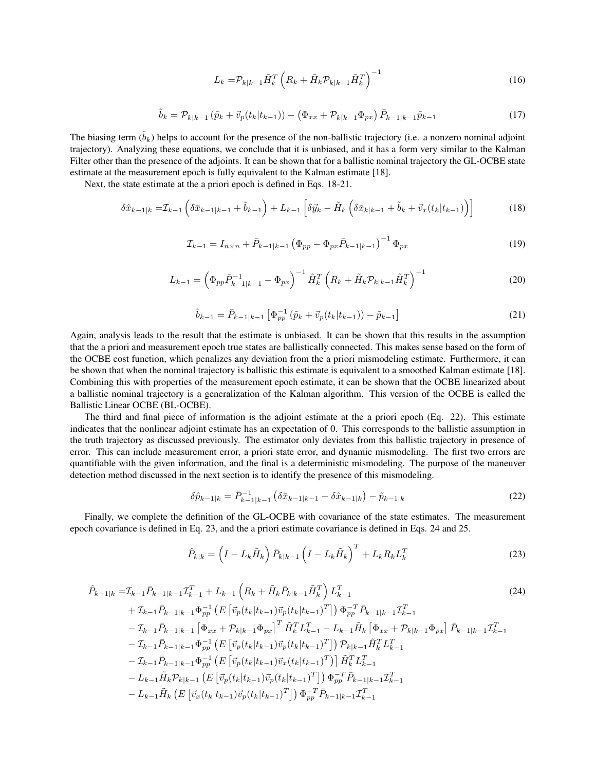$$
L_k = \mathcal{P}_{k|k-1} \tilde{H}_k^T \left( R_k + \tilde{H}_k \mathcal{P}_{k|k-1} \tilde{H}_k^T \right)^{-1} \tag{16}
$$

$$
\tilde{b}_k = \mathcal{P}_{k|k-1} \left( \tilde{p}_k + \vec{v}_p(t_k | t_{k-1}) \right) - \left( \Phi_{xx} + \mathcal{P}_{k|k-1} \Phi_{px} \right) \bar{P}_{k-1|k-1} \tilde{p}_{k-1}
$$
\n(17)

The biasing term  $(\tilde{b}_k)$  helps to account for the presence of the non-ballistic trajectory (i.e. a nonzero nominal adjoint trajectory). Analyzing these equations, we conclude that it is unbiased, and it has a form very similar to the Kalman Filter other than the presence of the adjoints. It can be shown that for a ballistic nominal trajectory the GL-OCBE state estimate at the measurement epoch is fully equivalent to the Kalman estimate [18].

Next, the state estimate at the a priori epoch is defined in Eqs. 18-21.

$$
\delta \hat{x}_{k-1|k} = \mathcal{I}_{k-1} \left( \delta \bar{x}_{k-1|k-1} + \tilde{b}_{k-1} \right) + L_{k-1} \left[ \delta \bar{y}_k - \tilde{H}_k \left( \delta \bar{x}_{k|k-1} + \tilde{b}_k + \vec{v}_x(t_k | t_{k-1}) \right) \right] \tag{18}
$$

$$
\mathcal{I}_{k-1} = I_{n \times n} + \bar{P}_{k-1|k-1} \left( \Phi_{pp} - \Phi_{px} \bar{P}_{k-1|k-1} \right)^{-1} \Phi_{px} \tag{19}
$$

$$
L_{k-1} = \left(\Phi_{pp}\bar{P}_{k-1|k-1}^{-1} - \Phi_{px}\right)^{-1} \tilde{H}_k^T \left(R_k + \tilde{H}_k \mathcal{P}_{k|k-1} \tilde{H}_k^T\right)^{-1} \tag{20}
$$

$$
\tilde{b}_{k-1} = \bar{P}_{k-1|k-1} \left[ \Phi_{pp}^{-1} \left( \tilde{p}_k + \vec{v}_p(t_k|t_{k-1}) \right) - \tilde{p}_{k-1} \right] \tag{21}
$$

Again, analysis leads to the result that the estimate is unbiased. It can be shown that this results in the assumption that the a priori and measurement epoch true states are ballistically connected. This makes sense based on the form of the OCBE cost function, which penalizes any deviation from the a priori mismodeling estimate. Furthermore, it can be shown that when the nominal trajectory is ballistic this estimate is equivalent to a smoothed Kalman estimate [18]. Combining this with properties of the measurement epoch estimate, it can be shown that the OCBE linearized about a ballistic nominal trajectory is a generalization of the Kalman algorithm. This version of the OCBE is called the Ballistic Linear OCBE (BL-OCBE).

The third and final piece of information is the adjoint estimate at the a priori epoch (Eq. 22). This estimate indicates that the nonlinear adjoint estimate has an expectation of 0. This corresponds to the ballistic assumption in the truth trajectory as discussed previously. The estimator only deviates from this ballistic trajectory in presence of error. This can include measurement error, a priori state error, and dynamic mismodeling. The first two errors are quantifiable with the given information, and the final is a deterministic mismodeling. The purpose of the maneuver detection method discussed in the next section is to identify the presence of this mismodeling.

$$
\delta \hat{p}_{k-1|k} = \bar{P}_{k-1|k-1}^{-1} \left( \delta \bar{x}_{k-1|k-1} - \delta \hat{x}_{k-1|k} \right) - \tilde{p}_{k-1|k} \tag{22}
$$

Finally, we complete the definition of the GL-OCBE with covariance of the state estimates. The measurement epoch covariance is defined in Eq. 23, and the a priori estimate covariance is defined in Eqs. 24 and 25.

$$
\hat{P}_{k|k} = \left(I - L_k \tilde{H}_k\right) \bar{P}_{k|k-1} \left(I - L_k \tilde{H}_k\right)^T + L_k R_k L_k^T \tag{23}
$$

$$
\hat{P}_{k-1|k} = \mathcal{I}_{k-1} \bar{P}_{k-1|k-1} \mathcal{I}_{k-1}^T + L_{k-1} \left( R_k + \tilde{H}_k \bar{P}_{k|k-1} \tilde{H}_k^T \right) L_{k-1}^T
$$
\n
$$
+ \mathcal{I}_{k-1} \bar{P}_{k-1|k-1} \Phi_{pp}^{-1} \left( E \left[ \vec{v}_p(t_k | t_{k-1}) \vec{v}_p(t_k | t_{k-1})^T \right] \right) \Phi_{pp}^{-T} \bar{P}_{k-1|k-1} \mathcal{I}_{k-1}^T
$$
\n
$$
- \mathcal{I}_{k-1} \bar{P}_{k-1|k-1} \left[ \Phi_{xx} + \mathcal{P}_{k|k-1} \Phi_{px} \right]^T \tilde{H}_k^T L_{k-1}^T - L_{k-1} \tilde{H}_k \left[ \Phi_{xx} + \mathcal{P}_{k|k-1} \Phi_{px} \right] \bar{P}_{k-1|k-1} \mathcal{I}_{k-1}^T
$$
\n
$$
- \mathcal{I}_{k-1} \bar{P}_{k-1|k-1} \Phi_{pp}^{-1} \left( E \left[ \vec{v}_p(t_k | t_{k-1}) \vec{v}_p(t_k | t_{k-1})^T \right] \right) \mathcal{P}_{k|k-1} \tilde{H}_k^T L_{k-1}^T
$$
\n
$$
- \mathcal{I}_{k-1} \bar{P}_{k-1|k-1} \Phi_{pp}^{-1} \left( E \left[ \vec{v}_p(t_k | t_{k-1}) \vec{v}_x(t_k | t_{k-1})^T \right] \right) \tilde{H}_k^T L_{k-1}^T
$$
\n
$$
- L_{k-1} \tilde{H}_k \mathcal{P}_{k|k-1} \left( E \left[ \vec{v}_p(t_k | t_{k-1}) \vec{v}_p(t_k | t_{k-1})^T \right] \right) \Phi_{pp}^{-T} \bar{P}_{k-1|k-1} \mathcal{I}_{k-1}^T
$$
\n
$$
- L_{k-1} \tilde{H}_k \left( E \left[ \vec{v}_x(t_k | t_{k-1}) \vec{v}_p(t_k | t_{k-
$$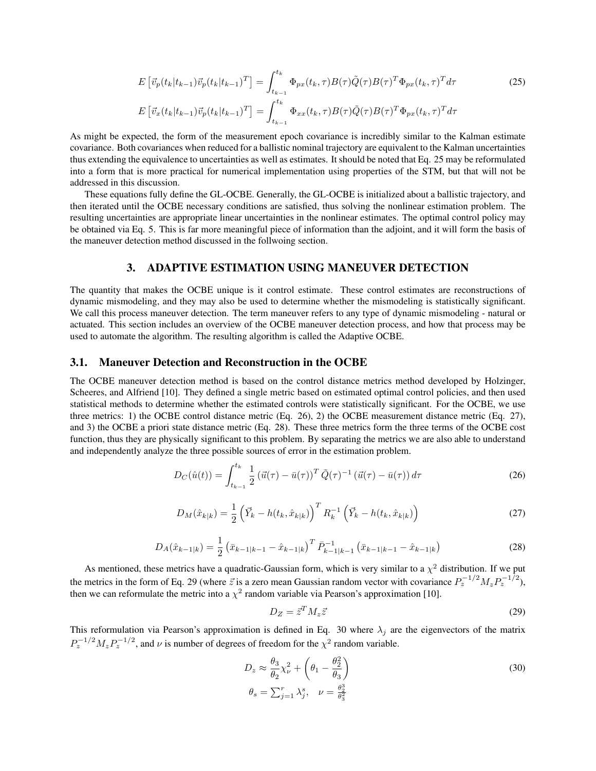$$
E\left[\vec{v}_p(t_k|t_{k-1})\vec{v}_p(t_k|t_{k-1})^T\right] = \int_{t_{k-1}}^{t_k} \Phi_{px}(t_k,\tau)B(\tau)\tilde{Q}(\tau)B(\tau)^T\Phi_{px}(t_k,\tau)^T d\tau
$$
\n
$$
E\left[\vec{v}_x(t_k|t_{k-1})\vec{v}_p(t_k|t_{k-1})^T\right] = \int_{t_{k-1}}^{t_k} \Phi_{xx}(t_k,\tau)B(\tau)\tilde{Q}(\tau)B(\tau)^T\Phi_{px}(t_k,\tau)^T d\tau
$$
\n(25)

As might be expected, the form of the measurement epoch covariance is incredibly similar to the Kalman estimate covariance. Both covariances when reduced for a ballistic nominal trajectory are equivalent to the Kalman uncertainties thus extending the equivalence to uncertainties as well as estimates. It should be noted that Eq. 25 may be reformulated into a form that is more practical for numerical implementation using properties of the STM, but that will not be addressed in this discussion.

These equations fully define the GL-OCBE. Generally, the GL-OCBE is initialized about a ballistic trajectory, and then iterated until the OCBE necessary conditions are satisfied, thus solving the nonlinear estimation problem. The resulting uncertainties are appropriate linear uncertainties in the nonlinear estimates. The optimal control policy may be obtained via Eq. 5. This is far more meaningful piece of information than the adjoint, and it will form the basis of the maneuver detection method discussed in the follwoing section.

## 3. ADAPTIVE ESTIMATION USING MANEUVER DETECTION

The quantity that makes the OCBE unique is it control estimate. These control estimates are reconstructions of dynamic mismodeling, and they may also be used to determine whether the mismodeling is statistically significant. We call this process maneuver detection. The term maneuver refers to any type of dynamic mismodeling - natural or actuated. This section includes an overview of the OCBE maneuver detection process, and how that process may be used to automate the algorithm. The resulting algorithm is called the Adaptive OCBE.

#### 3.1. Maneuver Detection and Reconstruction in the OCBE

The OCBE maneuver detection method is based on the control distance metrics method developed by Holzinger, Scheeres, and Alfriend [10]. They defined a single metric based on estimated optimal control policies, and then used statistical methods to determine whether the estimated controls were statistically significant. For the OCBE, we use three metrics: 1) the OCBE control distance metric (Eq. 26), 2) the OCBE measurement distance metric (Eq. 27), and 3) the OCBE a priori state distance metric (Eq. 28). These three metrics form the three terms of the OCBE cost function, thus they are physically significant to this problem. By separating the metrics we are also able to understand and independently analyze the three possible sources of error in the estimation problem.

$$
D_C(\hat{u}(t)) = \int_{t_{k-1}}^{t_k} \frac{1}{2} \left(\vec{u}(\tau) - \bar{u}(\tau)\right)^T \tilde{Q}(\tau)^{-1} \left(\vec{u}(\tau) - \bar{u}(\tau)\right) d\tau \tag{26}
$$

$$
D_M(\hat{x}_{k|k}) = \frac{1}{2} \left( \vec{Y}_k - h(t_k, \hat{x}_{k|k}) \right)^T R_k^{-1} \left( \vec{Y}_k - h(t_k, \hat{x}_{k|k}) \right)
$$
(27)

$$
D_A(\hat{x}_{k-1|k}) = \frac{1}{2} \left( \bar{x}_{k-1|k-1} - \hat{x}_{k-1|k} \right)^T \bar{P}_{k-1|k-1}^{-1} \left( \bar{x}_{k-1|k-1} - \hat{x}_{k-1|k} \right)
$$
(28)

As mentioned, these metrics have a quadratic-Gaussian form, which is very similar to a  $\chi^2$  distribution. If we put the metrics in the form of Eq. 29 (where  $\vec{z}$  is a zero mean Gaussian random vector with covariance  $P_z^{-1/2} M_z P_z^{-1/2}$ ), then we can reformulate the metric into a  $\chi^2$  random variable via Pearson's approximation [10].

$$
D_Z = \vec{z}^T M_z \vec{z} \tag{29}
$$

This reformulation via Pearson's approximation is defined in Eq. 30 where  $\lambda_j$  are the eigenvectors of the matrix  $P_z^{-1/2} M_z P_z^{-1/2}$ , and  $\nu$  is number of degrees of freedom for the  $\chi^2$  random variable.

$$
D_z \approx \frac{\theta_3}{\theta_2} \chi_{\nu}^2 + \left(\theta_1 - \frac{\theta_2^2}{\theta_3}\right)
$$
  

$$
\theta_s = \sum_{j=1}^r \lambda_j^s, \quad \nu = \frac{\theta_2^3}{\theta_3^2}
$$
 (30)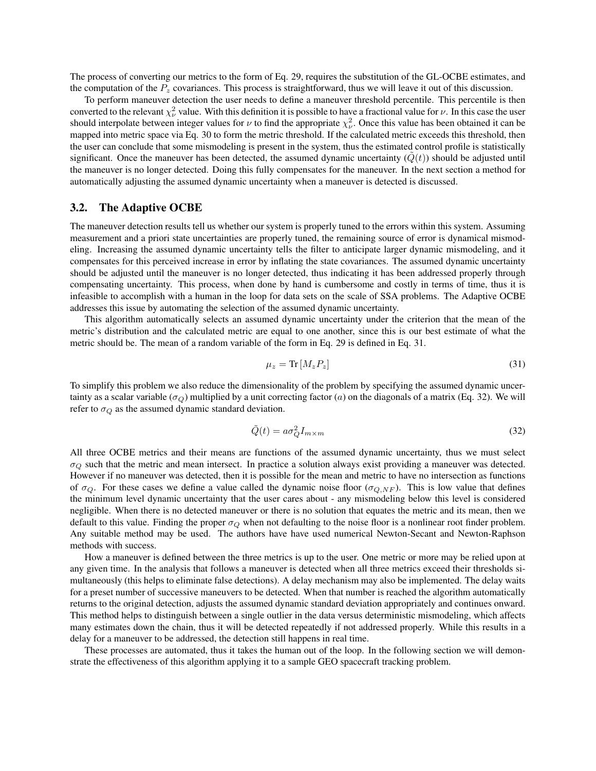The process of converting our metrics to the form of Eq. 29, requires the substitution of the GL-OCBE estimates, and the computation of the  $P_z$  covariances. This process is straightforward, thus we will leave it out of this discussion.

To perform maneuver detection the user needs to define a maneuver threshold percentile. This percentile is then converted to the relevant  $\chi^2_\nu$  value. With this definition it is possible to have a fractional value for  $\nu$ . In this case the user should interpolate between integer values for  $\nu$  to find the appropriate  $\chi^2_\nu$ . Once this value has been obtained it can be mapped into metric space via Eq. 30 to form the metric threshold. If the calculated metric exceeds this threshold, then the user can conclude that some mismodeling is present in the system, thus the estimated control profile is statistically significant. Once the maneuver has been detected, the assumed dynamic uncertainty  $(Q(t))$  should be adjusted until the maneuver is no longer detected. Doing this fully compensates for the maneuver. In the next section a method for automatically adjusting the assumed dynamic uncertainty when a maneuver is detected is discussed.

### 3.2. The Adaptive OCBE

The maneuver detection results tell us whether our system is properly tuned to the errors within this system. Assuming measurement and a priori state uncertainties are properly tuned, the remaining source of error is dynamical mismodeling. Increasing the assumed dynamic uncertainty tells the filter to anticipate larger dynamic mismodeling, and it compensates for this perceived increase in error by inflating the state covariances. The assumed dynamic uncertainty should be adjusted until the maneuver is no longer detected, thus indicating it has been addressed properly through compensating uncertainty. This process, when done by hand is cumbersome and costly in terms of time, thus it is infeasible to accomplish with a human in the loop for data sets on the scale of SSA problems. The Adaptive OCBE addresses this issue by automating the selection of the assumed dynamic uncertainty.

This algorithm automatically selects an assumed dynamic uncertainty under the criterion that the mean of the metric's distribution and the calculated metric are equal to one another, since this is our best estimate of what the metric should be. The mean of a random variable of the form in Eq. 29 is defined in Eq. 31.

$$
\mu_z = \text{Tr}\left[M_z P_z\right] \tag{31}
$$

To simplify this problem we also reduce the dimensionality of the problem by specifying the assumed dynamic uncertainty as a scalar variable ( $\sigma_Q$ ) multiplied by a unit correcting factor (*a*) on the diagonals of a matrix (Eq. 32). We will refer to  $\sigma_Q$  as the assumed dynamic standard deviation.

$$
\tilde{Q}(t) = a\sigma_Q^2 I_{m \times m} \tag{32}
$$

All three OCBE metrics and their means are functions of the assumed dynamic uncertainty, thus we must select  $\sigma_Q$  such that the metric and mean intersect. In practice a solution always exist providing a maneuver was detected. However if no maneuver was detected, then it is possible for the mean and metric to have no intersection as functions of  $\sigma_Q$ . For these cases we define a value called the dynamic noise floor ( $\sigma_{Q,NF}$ ). This is low value that defines the minimum level dynamic uncertainty that the user cares about - any mismodeling below this level is considered negligible. When there is no detected maneuver or there is no solution that equates the metric and its mean, then we default to this value. Finding the proper  $\sigma_Q$  when not defaulting to the noise floor is a nonlinear root finder problem. Any suitable method may be used. The authors have have used numerical Newton-Secant and Newton-Raphson methods with success.

How a maneuver is defined between the three metrics is up to the user. One metric or more may be relied upon at any given time. In the analysis that follows a maneuver is detected when all three metrics exceed their thresholds simultaneously (this helps to eliminate false detections). A delay mechanism may also be implemented. The delay waits for a preset number of successive maneuvers to be detected. When that number is reached the algorithm automatically returns to the original detection, adjusts the assumed dynamic standard deviation appropriately and continues onward. This method helps to distinguish between a single outlier in the data versus deterministic mismodeling, which affects many estimates down the chain, thus it will be detected repeatedly if not addressed properly. While this results in a delay for a maneuver to be addressed, the detection still happens in real time.

These processes are automated, thus it takes the human out of the loop. In the following section we will demonstrate the effectiveness of this algorithm applying it to a sample GEO spacecraft tracking problem.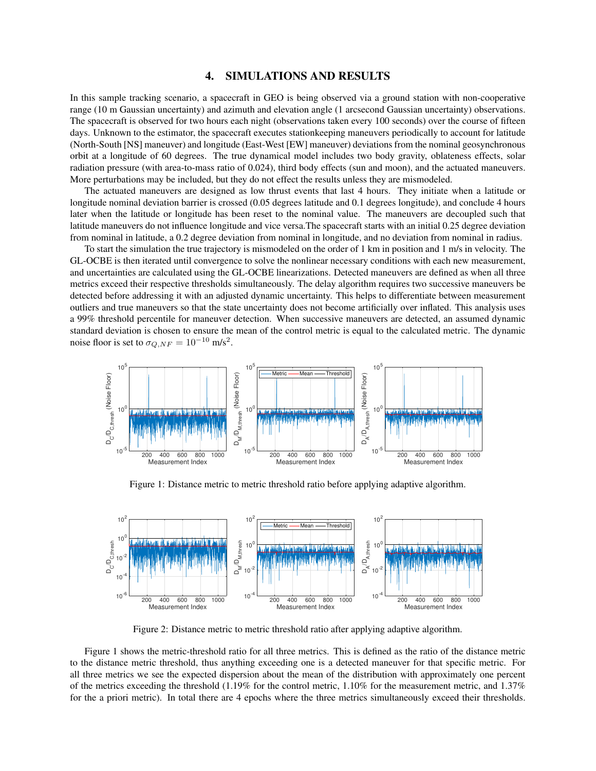## 4. SIMULATIONS AND RESULTS

In this sample tracking scenario, a spacecraft in GEO is being observed via a ground station with non-cooperative range (10 m Gaussian uncertainty) and azimuth and elevation angle (1 arcsecond Gaussian uncertainty) observations. The spacecraft is observed for two hours each night (observations taken every 100 seconds) over the course of fifteen days. Unknown to the estimator, the spacecraft executes stationkeeping maneuvers periodically to account for latitude (North-South [NS] maneuver) and longitude (East-West [EW] maneuver) deviations from the nominal geosynchronous orbit at a longitude of 60 degrees. The true dynamical model includes two body gravity, oblateness effects, solar radiation pressure (with area-to-mass ratio of 0.024), third body effects (sun and moon), and the actuated maneuvers. More perturbations may be included, but they do not effect the results unless they are mismodeled.

The actuated maneuvers are designed as low thrust events that last 4 hours. They initiate when a latitude or longitude nominal deviation barrier is crossed (0.05 degrees latitude and 0.1 degrees longitude), and conclude 4 hours later when the latitude or longitude has been reset to the nominal value. The maneuvers are decoupled such that latitude maneuvers do not influence longitude and vice versa.The spacecraft starts with an initial 0.25 degree deviation from nominal in latitude, a 0.2 degree deviation from nominal in longitude, and no deviation from nominal in radius.

To start the simulation the true trajectory is mismodeled on the order of 1 km in position and 1 m/s in velocity. The GL-OCBE is then iterated until convergence to solve the nonlinear necessary conditions with each new measurement, and uncertainties are calculated using the GL-OCBE linearizations. Detected maneuvers are defined as when all three metrics exceed their respective thresholds simultaneously. The delay algorithm requires two successive maneuvers be detected before addressing it with an adjusted dynamic uncertainty. This helps to differentiate between measurement outliers and true maneuvers so that the state uncertainty does not become artificially over inflated. This analysis uses a 99% threshold percentile for maneuver detection. When successive maneuvers are detected, an assumed dynamic standard deviation is chosen to ensure the mean of the control metric is equal to the calculated metric. The dynamic noise floor is set to  $\sigma_{Q,NF} = 10^{-10}$  m/s<sup>2</sup>.



Figure 1: Distance metric to metric threshold ratio before applying adaptive algorithm.



Figure 2: Distance metric to metric threshold ratio after applying adaptive algorithm.

Figure 1 shows the metric-threshold ratio for all three metrics. This is defined as the ratio of the distance metric to the distance metric threshold, thus anything exceeding one is a detected maneuver for that specific metric. For all three metrics we see the expected dispersion about the mean of the distribution with approximately one percent of the metrics exceeding the threshold (1.19% for the control metric, 1.10% for the measurement metric, and 1.37% for the a priori metric). In total there are 4 epochs where the three metrics simultaneously exceed their thresholds.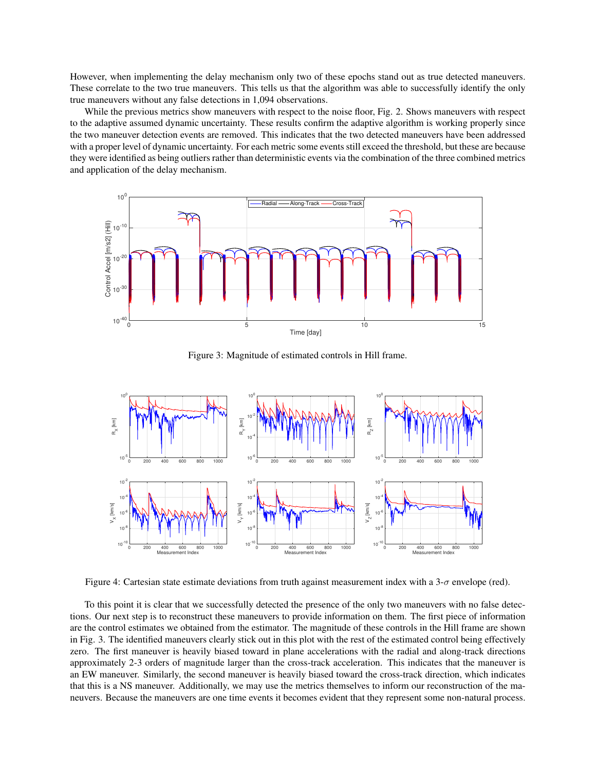However, when implementing the delay mechanism only two of these epochs stand out as true detected maneuvers. These correlate to the two true maneuvers. This tells us that the algorithm was able to successfully identify the only true maneuvers without any false detections in 1,094 observations.

While the previous metrics show maneuvers with respect to the noise floor, Fig. 2. Shows maneuvers with respect to the adaptive assumed dynamic uncertainty. These results confirm the adaptive algorithm is working properly since the two maneuver detection events are removed. This indicates that the two detected maneuvers have been addressed with a proper level of dynamic uncertainty. For each metric some events still exceed the threshold, but these are because they were identified as being outliers rather than deterministic events via the combination of the three combined metrics and application of the delay mechanism.



Figure 3: Magnitude of estimated controls in Hill frame.



Figure 4: Cartesian state estimate deviations from truth against measurement index with a 3-σ envelope (red).

To this point it is clear that we successfully detected the presence of the only two maneuvers with no false detections. Our next step is to reconstruct these maneuvers to provide information on them. The first piece of information are the control estimates we obtained from the estimator. The magnitude of these controls in the Hill frame are shown in Fig. 3. The identified maneuvers clearly stick out in this plot with the rest of the estimated control being effectively zero. The first maneuver is heavily biased toward in plane accelerations with the radial and along-track directions approximately 2-3 orders of magnitude larger than the cross-track acceleration. This indicates that the maneuver is an EW maneuver. Similarly, the second maneuver is heavily biased toward the cross-track direction, which indicates that this is a NS maneuver. Additionally, we may use the metrics themselves to inform our reconstruction of the maneuvers. Because the maneuvers are one time events it becomes evident that they represent some non-natural process.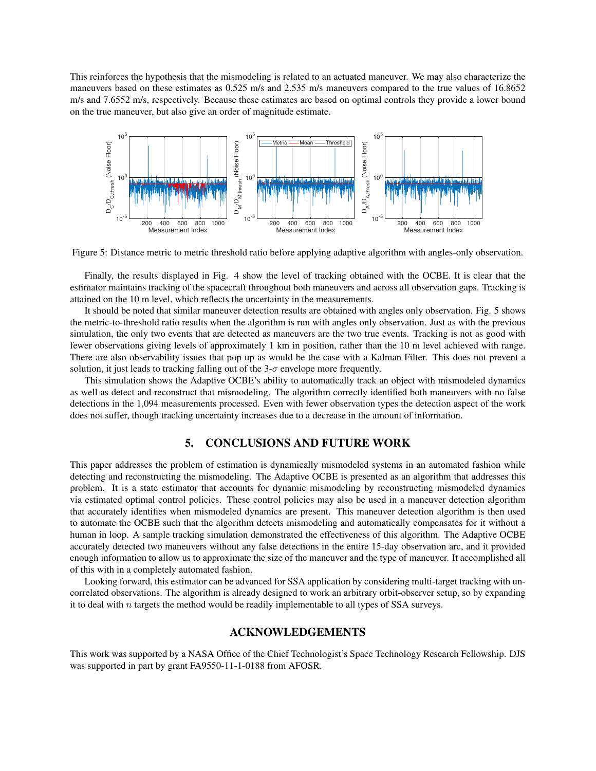This reinforces the hypothesis that the mismodeling is related to an actuated maneuver. We may also characterize the maneuvers based on these estimates as 0.525 m/s and 2.535 m/s maneuvers compared to the true values of 16.8652 m/s and 7.6552 m/s, respectively. Because these estimates are based on optimal controls they provide a lower bound on the true maneuver, but also give an order of magnitude estimate.



Figure 5: Distance metric to metric threshold ratio before applying adaptive algorithm with angles-only observation.

Finally, the results displayed in Fig. 4 show the level of tracking obtained with the OCBE. It is clear that the estimator maintains tracking of the spacecraft throughout both maneuvers and across all observation gaps. Tracking is attained on the 10 m level, which reflects the uncertainty in the measurements.

It should be noted that similar maneuver detection results are obtained with angles only observation. Fig. 5 shows the metric-to-threshold ratio results when the algorithm is run with angles only observation. Just as with the previous simulation, the only two events that are detected as maneuvers are the two true events. Tracking is not as good with fewer observations giving levels of approximately 1 km in position, rather than the 10 m level achieved with range. There are also observability issues that pop up as would be the case with a Kalman Filter. This does not prevent a solution, it just leads to tracking falling out of the  $3-\sigma$  envelope more frequently.

This simulation shows the Adaptive OCBE's ability to automatically track an object with mismodeled dynamics as well as detect and reconstruct that mismodeling. The algorithm correctly identified both maneuvers with no false detections in the 1,094 measurements processed. Even with fewer observation types the detection aspect of the work does not suffer, though tracking uncertainty increases due to a decrease in the amount of information.

#### 5. CONCLUSIONS AND FUTURE WORK

This paper addresses the problem of estimation is dynamically mismodeled systems in an automated fashion while detecting and reconstructing the mismodeling. The Adaptive OCBE is presented as an algorithm that addresses this problem. It is a state estimator that accounts for dynamic mismodeling by reconstructing mismodeled dynamics via estimated optimal control policies. These control policies may also be used in a maneuver detection algorithm that accurately identifies when mismodeled dynamics are present. This maneuver detection algorithm is then used to automate the OCBE such that the algorithm detects mismodeling and automatically compensates for it without a human in loop. A sample tracking simulation demonstrated the effectiveness of this algorithm. The Adaptive OCBE accurately detected two maneuvers without any false detections in the entire 15-day observation arc, and it provided enough information to allow us to approximate the size of the maneuver and the type of maneuver. It accomplished all of this with in a completely automated fashion.

Looking forward, this estimator can be advanced for SSA application by considering multi-target tracking with uncorrelated observations. The algorithm is already designed to work an arbitrary orbit-observer setup, so by expanding it to deal with  $n$  targets the method would be readily implementable to all types of SSA surveys.

### ACKNOWLEDGEMENTS

This work was supported by a NASA Office of the Chief Technologist's Space Technology Research Fellowship. DJS was supported in part by grant FA9550-11-1-0188 from AFOSR.